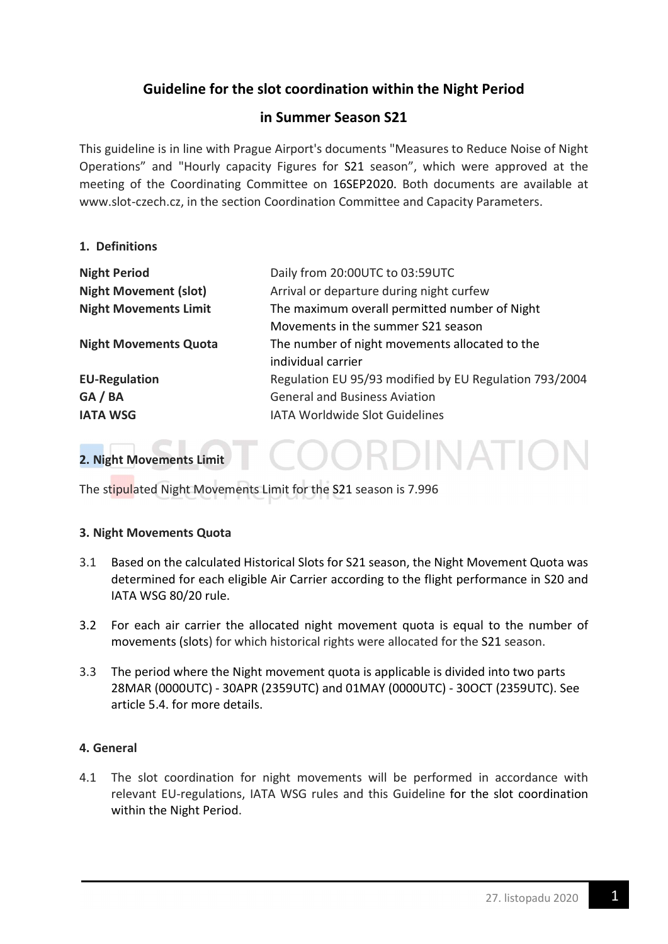# Guideline for the slot coordination within the Night Period

# in Summer Season S21

This guideline is in line with Prague Airport's documents "Measures to Reduce Noise of Night Operations" and "Hourly capacity Figures for S21 season", which were approved at the meeting of the Coordinating Committee on 16SEP2020. Both documents are available at www.slot-czech.cz, in the section Coordination Committee and Capacity Parameters.

### 1. Definitions

| <b>Night Period</b>          | Daily from 20:00UTC to 03:59UTC                        |
|------------------------------|--------------------------------------------------------|
| <b>Night Movement (slot)</b> | Arrival or departure during night curfew               |
| <b>Night Movements Limit</b> | The maximum overall permitted number of Night          |
|                              | Movements in the summer S21 season                     |
| <b>Night Movements Quota</b> | The number of night movements allocated to the         |
|                              | individual carrier                                     |
| <b>EU-Regulation</b>         | Regulation EU 95/93 modified by EU Regulation 793/2004 |
| GA / BA                      | <b>General and Business Aviation</b>                   |
| <b>IATA WSG</b>              | <b>IATA Worldwide Slot Guidelines</b>                  |

OORDINATI

## 2. Night Movements Limit

The stipulated Night Movements Limit for the S21 season is 7.996

### 3. Night Movements Quota

- 3.1 Based on the calculated Historical Slots for S21 season, the Night Movement Quota was determined for each eligible Air Carrier according to the flight performance in S20 and IATA WSG 80/20 rule.
- 3.2 For each air carrier the allocated night movement quota is equal to the number of movements (slots) for which historical rights were allocated for the S21 season.
- 3.3 The period where the Night movement quota is applicable is divided into two parts 28MAR (0000UTC) - 30APR (2359UTC) and 01MAY (0000UTC) - 30OCT (2359UTC). See article 5.4. for more details.

### 4. General

4.1 The slot coordination for night movements will be performed in accordance with relevant EU-regulations, IATA WSG rules and this Guideline for the slot coordination within the Night Period.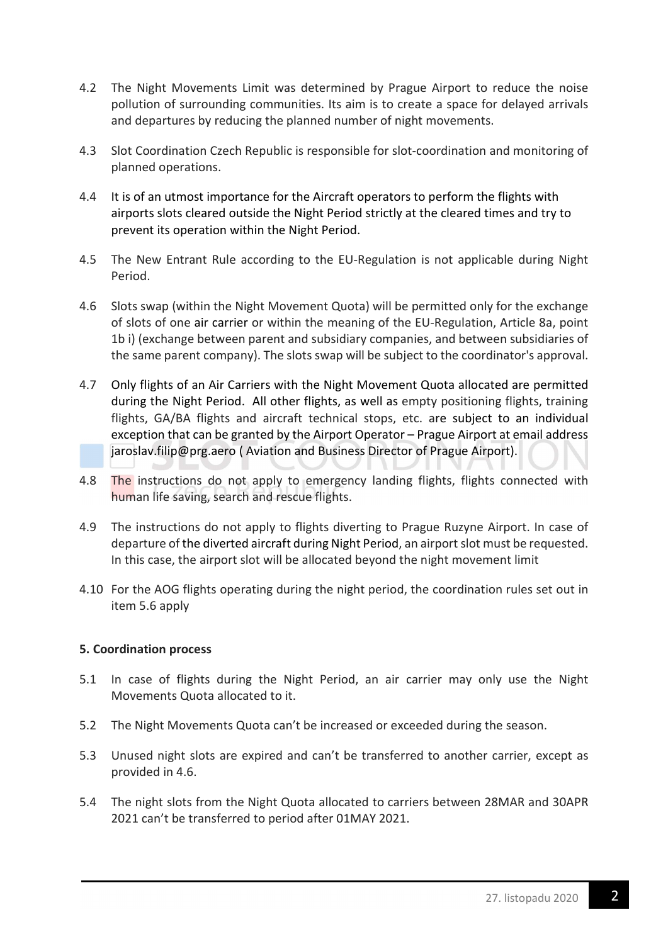- 4.2 The Night Movements Limit was determined by Prague Airport to reduce the noise pollution of surrounding communities. Its aim is to create a space for delayed arrivals and departures by reducing the planned number of night movements.
- 4.3 Slot Coordination Czech Republic is responsible for slot-coordination and monitoring of planned operations.
- 4.4 It is of an utmost importance for the Aircraft operators to perform the flights with airports slots cleared outside the Night Period strictly at the cleared times and try to prevent its operation within the Night Period.
- 4.5 The New Entrant Rule according to the EU-Regulation is not applicable during Night Period.
- 4.6 Slots swap (within the Night Movement Quota) will be permitted only for the exchange of slots of one air carrier or within the meaning of the EU-Regulation, Article 8a, point 1b i) (exchange between parent and subsidiary companies, and between subsidiaries of the same parent company). The slots swap will be subject to the coordinator's approval.
- 4.7 Only flights of an Air Carriers with the Night Movement Quota allocated are permitted during the Night Period. All other flights, as well as empty positioning flights, training flights, GA/BA flights and aircraft technical stops, etc. are subject to an individual exception that can be granted by the Airport Operator – Prague Airport at email address jaroslav.filip@prg.aero ( Aviation and Business Director of Prague Airport).
- 4.8 The instructions do not apply to emergency landing flights, flights connected with human life saving, search and rescue flights.
- 4.9 The instructions do not apply to flights diverting to Prague Ruzyne Airport. In case of departure of the diverted aircraft during Night Period, an airport slot must be requested. In this case, the airport slot will be allocated beyond the night movement limit
- 4.10 For the AOG flights operating during the night period, the coordination rules set out in item 5.6 apply

### 5. Coordination process

- 5.1 In case of flights during the Night Period, an air carrier may only use the Night Movements Quota allocated to it.
- 5.2 The Night Movements Quota can't be increased or exceeded during the season.
- 5.3 Unused night slots are expired and can't be transferred to another carrier, except as provided in 4.6.
- 5.4 The night slots from the Night Quota allocated to carriers between 28MAR and 30APR 2021 can't be transferred to period after 01MAY 2021.